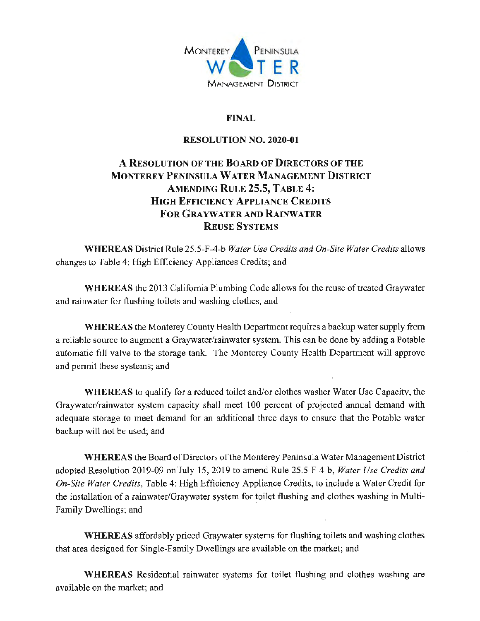

## **FINAL**

### **RESOLUTION NO. 2020-01**

# A RESOLUTION OF THE BOARD OF DIRECTORS OF THE **MONTEREY PENINSULA WATER MANAGEMENT DISTRICT AMENDING RULE 25.5, TABLE 4: HIGH EFFICIENCY APPLIANCE CREDITS FOR GRAYWATER AND RAINWATER REUSE SYSTEMS**

**WHEREAS** District Rule 25.5-F-4-b Water Use Credits and On-Site Water Credits allows changes to Table 4: High Efficiency Appliances Credits; and

**WHEREAS** the 2013 California Plumbing Code allows for the reuse of treated Graywater and rainwater for flushing toilets and washing clothes; and

WHEREAS the Monterey County Health Department requires a backup water supply from a reliable source to augment a Graywater/rainwater system. This can be done by adding a Potable automatic fill valve to the storage tank. The Monterey County Health Department will approve and permit these systems; and

**WHEREAS** to qualify for a reduced toilet and/or clothes washer Water Use Capacity, the Graywater/rainwater system capacity shall meet 100 percent of projected annual demand with adequate storage to meet demand for an additional three days to ensure that the Potable water backup will not be used; and

WHEREAS the Board of Directors of the Monterey Peninsula Water Management District adopted Resolution 2019-09 on July 15, 2019 to amend Rule 25.5-F-4-b, Water Use Credits and On-Site Water Credits, Table 4: High Efficiency Appliance Credits, to include a Water Credit for the installation of a rainwater/Graywater system for toilet flushing and clothes washing in Multi-Family Dwellings; and

**WHEREAS** affordably priced Graywater systems for flushing toilets and washing clothes that area designed for Single-Family Dwellings are available on the market; and

WHEREAS Residential rainwater systems for toilet flushing and clothes washing are available on the market; and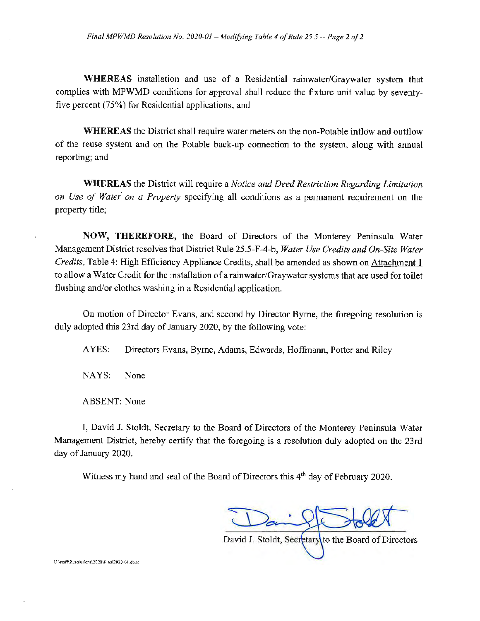**WHEREAS** installation and use of a Residential rainwater/Graywater system that complies with MPWMD conditions for approval shall reduce the fixture unit value by seventyfive percent (75%) for Residential applications; and

**WHEREAS** the District shall require water meters on the non-Potable inflow and outflow of the reuse system and on the Potable back-up connection to the system, along with annual reporting; and

**WHEREAS** the District will require a Notice and Deed Restriction Regarding Limitation on Use of Water on a Property specifying all conditions as a permanent requirement on the property title;

NOW, THEREFORE, the Board of Directors of the Monterey Peninsula Water Management District resolves that District Rule 25.5-F-4-b, Water Use Credits and On-Site Water Credits, Table 4: High Efficiency Appliance Credits, shall be amended as shown on Attachment 1 to allow a Water Credit for the installation of a rainwater/Graywater systems that are used for toilet flushing and/or clothes washing in a Residential application.

On motion of Director Evans, and second by Director Byrne, the foregoing resolution is duly adopted this 23rd day of January 2020, by the following vote:

AYES: Directors Evans, Byrne, Adams, Edwards, Hoffmann, Potter and Riley

NAYS: None

**ABSENT:** None

I, David J. Stoldt, Secretary to the Board of Directors of the Monterey Peninsula Water Management District, hereby certify that the foregoing is a resolution duly adopted on the 23rd day of January 2020.

Witness my hand and seal of the Board of Directors this 4<sup>th</sup> day of February 2020.

David J. Stoldt, Secretary to the Board of Directors

U//staff/Resolutions/2020/Final2020-01.doex